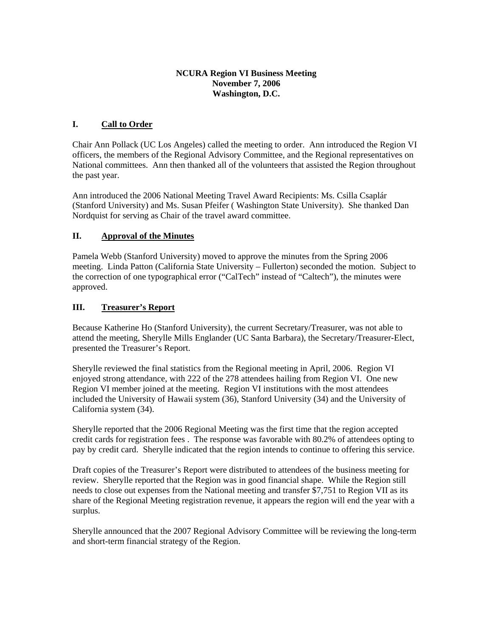## **NCURA Region VI Business Meeting November 7, 2006 Washington, D.C.**

# **I. Call to Order**

Chair Ann Pollack (UC Los Angeles) called the meeting to order. Ann introduced the Region VI officers, the members of the Regional Advisory Committee, and the Regional representatives on National committees. Ann then thanked all of the volunteers that assisted the Region throughout the past year.

Ann introduced the 2006 National Meeting Travel Award Recipients: Ms. Csilla Csaplár (Stanford University) and Ms. Susan Pfeifer ( Washington State University). She thanked Dan Nordquist for serving as Chair of the travel award committee.

## **II. Approval of the Minutes**

Pamela Webb (Stanford University) moved to approve the minutes from the Spring 2006 meeting. Linda Patton (California State University – Fullerton) seconded the motion. Subject to the correction of one typographical error ("CalTech" instead of "Caltech"), the minutes were approved.

## **III. Treasurer's Report**

Because Katherine Ho (Stanford University), the current Secretary/Treasurer, was not able to attend the meeting, Sherylle Mills Englander (UC Santa Barbara), the Secretary/Treasurer-Elect, presented the Treasurer's Report.

Sherylle reviewed the final statistics from the Regional meeting in April, 2006. Region VI enjoyed strong attendance, with 222 of the 278 attendees hailing from Region VI. One new Region VI member joined at the meeting. Region VI institutions with the most attendees included the University of Hawaii system (36), Stanford University (34) and the University of California system (34).

Sherylle reported that the 2006 Regional Meeting was the first time that the region accepted credit cards for registration fees . The response was favorable with 80.2% of attendees opting to pay by credit card. Sherylle indicated that the region intends to continue to offering this service.

Draft copies of the Treasurer's Report were distributed to attendees of the business meeting for review. Sherylle reported that the Region was in good financial shape. While the Region still needs to close out expenses from the National meeting and transfer \$7,751 to Region VII as its share of the Regional Meeting registration revenue, it appears the region will end the year with a surplus.

Sherylle announced that the 2007 Regional Advisory Committee will be reviewing the long-term and short-term financial strategy of the Region.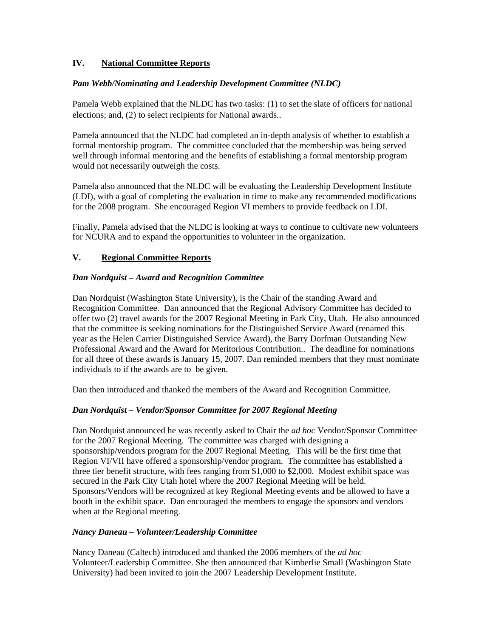# **IV. National Committee Reports**

### *Pam Webb/Nominating and Leadership Development Committee (NLDC)*

Pamela Webb explained that the NLDC has two tasks: (1) to set the slate of officers for national elections; and, (2) to select recipients for National awards..

Pamela announced that the NLDC had completed an in-depth analysis of whether to establish a formal mentorship program. The committee concluded that the membership was being served well through informal mentoring and the benefits of establishing a formal mentorship program would not necessarily outweigh the costs.

Pamela also announced that the NLDC will be evaluating the Leadership Development Institute (LDI), with a goal of completing the evaluation in time to make any recommended modifications for the 2008 program. She encouraged Region VI members to provide feedback on LDI.

Finally, Pamela advised that the NLDC is looking at ways to continue to cultivate new volunteers for NCURA and to expand the opportunities to volunteer in the organization.

## **V. Regional Committee Reports**

### *Dan Nordquist – Award and Recognition Committee*

Dan Nordquist (Washington State University), is the Chair of the standing Award and Recognition Committee. Dan announced that the Regional Advisory Committee has decided to offer two (2) travel awards for the 2007 Regional Meeting in Park City, Utah. He also announced that the committee is seeking nominations for the Distinguished Service Award (renamed this year as the Helen Carrier Distinguished Service Award), the Barry Dorfman Outstanding New Professional Award and the Award for Meritorious Contribution.. The deadline for nominations for all three of these awards is January 15, 2007. Dan reminded members that they must nominate individuals to if the awards are to be given.

Dan then introduced and thanked the members of the Award and Recognition Committee.

### *Dan Nordquist – Vendor/Sponsor Committee for 2007 Regional Meeting*

Dan Nordquist announced he was recently asked to Chair the *ad hoc* Vendor/Sponsor Committee for the 2007 Regional Meeting. The committee was charged with designing a sponsorship/vendors program for the 2007 Regional Meeting. This will be the first time that Region VI/VII have offered a sponsorship/vendor program. The committee has established a three tier benefit structure, with fees ranging from \$1,000 to \$2,000. Modest exhibit space was secured in the Park City Utah hotel where the 2007 Regional Meeting will be held. Sponsors/Vendors will be recognized at key Regional Meeting events and be allowed to have a booth in the exhibit space. Dan encouraged the members to engage the sponsors and vendors when at the Regional meeting.

### *Nancy Daneau – Volunteer/Leadership Committee*

Nancy Daneau (Caltech) introduced and thanked the 2006 members of the *ad hoc* Volunteer/Leadership Committee. She then announced that Kimberlie Small (Washington State University) had been invited to join the 2007 Leadership Development Institute.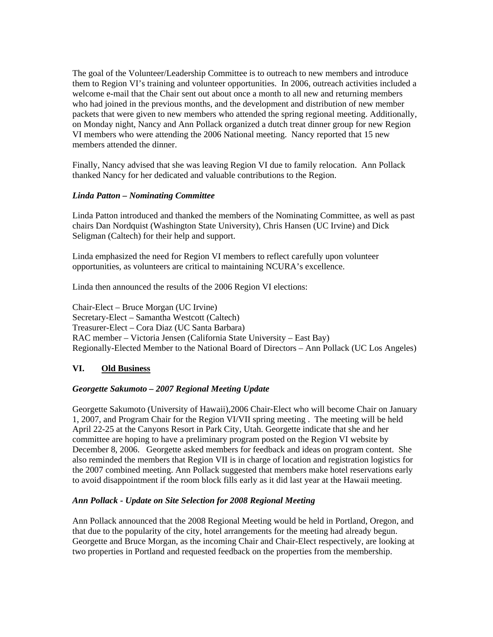The goal of the Volunteer/Leadership Committee is to outreach to new members and introduce them to Region VI's training and volunteer opportunities. In 2006, outreach activities included a welcome e-mail that the Chair sent out about once a month to all new and returning members who had joined in the previous months, and the development and distribution of new member packets that were given to new members who attended the spring regional meeting. Additionally, on Monday night, Nancy and Ann Pollack organized a dutch treat dinner group for new Region VI members who were attending the 2006 National meeting. Nancy reported that 15 new members attended the dinner.

Finally, Nancy advised that she was leaving Region VI due to family relocation. Ann Pollack thanked Nancy for her dedicated and valuable contributions to the Region.

#### *Linda Patton – Nominating Committee*

Linda Patton introduced and thanked the members of the Nominating Committee, as well as past chairs Dan Nordquist (Washington State University), Chris Hansen (UC Irvine) and Dick Seligman (Caltech) for their help and support.

Linda emphasized the need for Region VI members to reflect carefully upon volunteer opportunities, as volunteers are critical to maintaining NCURA's excellence.

Linda then announced the results of the 2006 Region VI elections:

Chair-Elect – Bruce Morgan (UC Irvine) Secretary-Elect – Samantha Westcott (Caltech) Treasurer-Elect – Cora Diaz (UC Santa Barbara) RAC member – Victoria Jensen (California State University – East Bay) Regionally-Elected Member to the National Board of Directors – Ann Pollack (UC Los Angeles)

### **VI. Old Business**

### *Georgette Sakumoto – 2007 Regional Meeting Update*

Georgette Sakumoto (University of Hawaii),2006 Chair-Elect who will become Chair on January 1, 2007, and Program Chair for the Region VI/VII spring meeting . The meeting will be held April 22-25 at the Canyons Resort in Park City, Utah. Georgette indicate that she and her committee are hoping to have a preliminary program posted on the Region VI website by December 8, 2006. Georgette asked members for feedback and ideas on program content. She also reminded the members that Region VII is in charge of location and registration logistics for the 2007 combined meeting. Ann Pollack suggested that members make hotel reservations early to avoid disappointment if the room block fills early as it did last year at the Hawaii meeting.

### *Ann Pollack - Update on Site Selection for 2008 Regional Meeting*

Ann Pollack announced that the 2008 Regional Meeting would be held in Portland, Oregon, and that due to the popularity of the city, hotel arrangements for the meeting had already begun. Georgette and Bruce Morgan, as the incoming Chair and Chair-Elect respectively, are looking at two properties in Portland and requested feedback on the properties from the membership.